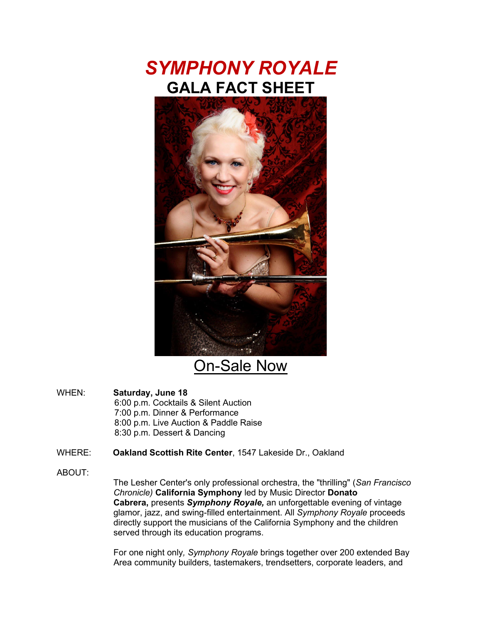



On-Sale Now

WHEN: **Saturday, June 18** 6:00 p.m. Cocktails & Silent Auction 7:00 p.m. Dinner & Performance 8:00 p.m. Live Auction & Paddle Raise 8:30 p.m. Dessert & Dancing

WHERE: **Oakland Scottish Rite Center**, 1547 Lakeside Dr., Oakland

ABOUT:

The Lesher Center's only professional orchestra, the "thrilling" (*San Francisco Chronicle)* **California Symphony** led by Music Director **Donato Cabrera,** presents *Symphony Royale,* an unforgettable evening of vintage glamor, jazz, and swing-filled entertainment. All *Symphony Royale* proceeds directly support the musicians of the California Symphony and the children served through its education programs.

For one night only*, Symphony Royale* brings together over 200 extended Bay Area community builders, tastemakers, trendsetters, corporate leaders, and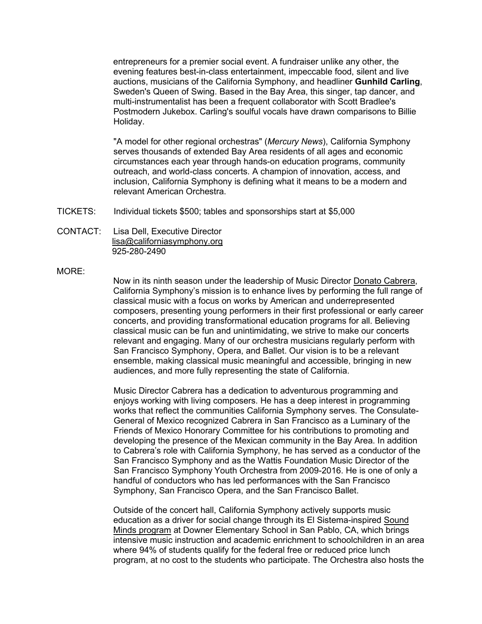entrepreneurs for a premier social event. A fundraiser unlike any other, the evening features best-in-class entertainment, impeccable food, silent and live auctions, musicians of the California Symphony, and headliner **Gunhild Carling**, Sweden's Queen of Swing. Based in the Bay Area, this singer, tap dancer, and multi-instrumentalist has been a frequent collaborator with Scott Bradlee's Postmodern Jukebox. Carling's soulful vocals have drawn comparisons to Billie Holiday.

"A model for other regional orchestras" (*Mercury News*), California Symphony serves thousands of extended Bay Area residents of all ages and economic circumstances each year through hands-on education programs, community outreach, and world-class concerts. A champion of innovation, access, and inclusion, California Symphony is defining what it means to be a modern and relevant American Orchestra.

- TICKETS: Individual tickets \$500; tables and sponsorships start at \$5,000
- CONTACT: Lisa Dell, Executive Director [lisa@californiasymphony.org](mailto:lisa@californiasymphony.org) 925-280-2490

## MORE:

Now in its ninth season under the leadership of Music Director Donato [Cabrera,](http://www.donatocabrera.com/) California Symphony's mission is to enhance lives by performing the full range of classical music with a focus on works by American and underrepresented composers, presenting young performers in their first professional or early career concerts, and providing transformational education programs for all. Believing classical music can be fun and unintimidating, we strive to make our concerts relevant and engaging. Many of our orchestra musicians regularly perform with San Francisco Symphony, Opera, and Ballet. Our vision is to be a relevant ensemble, making classical music meaningful and accessible, bringing in new audiences, and more fully representing the state of California.

Music Director Cabrera has a dedication to adventurous programming and enjoys working with living composers. He has a deep interest in programming works that reflect the communities California Symphony serves. The Consulate-General of Mexico recognized Cabrera in San Francisco as a Luminary of the Friends of Mexico Honorary Committee for his contributions to promoting and developing the presence of the Mexican community in the Bay Area. In addition to Cabrera's role with California Symphony, he has served as a conductor of the San Francisco Symphony and as the Wattis Foundation Music Director of the San Francisco Symphony Youth Orchestra from 2009-2016. He is one of only a handful of conductors who has led performances with the San Francisco Symphony, San Francisco Opera, and the San Francisco Ballet.

Outside of the concert hall, California Symphony actively supports music education as a driver for social change through its El Sistema-inspired [Sound](http://www.californiasymphony.org/sound-minds?utm_source=mailchimp&utm_medium=email&utm_campaign=pr_brahms_fest&utm_content=text_sound_minds) Minds [program](http://www.californiasymphony.org/sound-minds?utm_source=mailchimp&utm_medium=email&utm_campaign=pr_brahms_fest&utm_content=text_sound_minds) at Downer Elementary School in San Pablo, CA, which brings intensive music instruction and academic enrichment to schoolchildren in an area where 94% of students qualify for the federal free or reduced price lunch program, at no cost to the students who participate. The Orchestra also hosts the